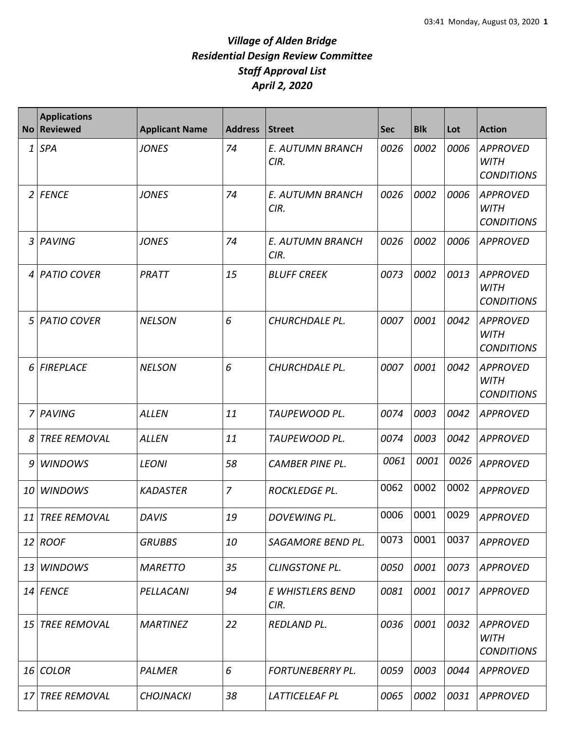| <b>No</b>   | <b>Applications</b><br><b>Reviewed</b> | <b>Applicant Name</b> | <b>Address</b> | <b>Street</b>                   | <b>Sec</b> | <b>Blk</b> | Lot  | <b>Action</b>                                       |
|-------------|----------------------------------------|-----------------------|----------------|---------------------------------|------------|------------|------|-----------------------------------------------------|
| 1           | <b>SPA</b>                             | <b>JONES</b>          | 74             | E. AUTUMN BRANCH<br>CIR.        | 0026       | 0002       | 0006 | <b>APPROVED</b><br><b>WITH</b><br><b>CONDITIONS</b> |
| $2^{\circ}$ | <b>FENCE</b>                           | <b>JONES</b>          | 74             | E. AUTUMN BRANCH<br>CIR.        | 0026       | 0002       | 0006 | <b>APPROVED</b><br><b>WITH</b><br><b>CONDITIONS</b> |
| 3           | PAVING                                 | <b>JONES</b>          | 74             | <b>E. AUTUMN BRANCH</b><br>CIR. | 0026       | 0002       | 0006 | <b>APPROVED</b>                                     |
| 4           | <b>PATIO COVER</b>                     | PRATT                 | 15             | <b>BLUFF CREEK</b>              | 0073       | 0002       | 0013 | <b>APPROVED</b><br><b>WITH</b><br><b>CONDITIONS</b> |
| 5           | <b>PATIO COVER</b>                     | <b>NELSON</b>         | 6              | CHURCHDALE PL.                  | 0007       | 0001       | 0042 | <b>APPROVED</b><br><b>WITH</b><br><b>CONDITIONS</b> |
| 6           | <b>FIREPLACE</b>                       | <b>NELSON</b>         | 6              | CHURCHDALE PL.                  | 0007       | 0001       | 0042 | <b>APPROVED</b><br><b>WITH</b><br><b>CONDITIONS</b> |
| 7           | PAVING                                 | <b>ALLEN</b>          | 11             | TAUPEWOOD PL.                   | 0074       | 0003       | 0042 | <b>APPROVED</b>                                     |
| 8           | <b>TREE REMOVAL</b>                    | <b>ALLEN</b>          | 11             | TAUPEWOOD PL.                   | 0074       | 0003       | 0042 | <b>APPROVED</b>                                     |
| 9           | <b>WINDOWS</b>                         | <b>LEONI</b>          | 58             | <b>CAMBER PINE PL.</b>          | 0061       | 0001       | 0026 | <b>APPROVED</b>                                     |
| 10          | <b>WINDOWS</b>                         | <b>KADASTER</b>       | $\overline{7}$ | ROCKLEDGE PL.                   | 0062       | 0002       | 0002 | <b>APPROVED</b>                                     |
|             | 11 TREE REMOVAL                        | <b>DAVIS</b>          | 19             | DOVEWING PL.                    | 0006       | 0001       | 0029 | <b>APPROVED</b>                                     |
|             | 12 ROOF                                | <b>GRUBBS</b>         | 10             | SAGAMORE BEND PL.               | 0073       | 0001       | 0037 | <b>APPROVED</b>                                     |
| 13          | <b>WINDOWS</b>                         | <b>MARETTO</b>        | 35             | <b>CLINGSTONE PL.</b>           | 0050       | 0001       | 0073 | <b>APPROVED</b>                                     |
| 14          | <b>FENCE</b>                           | PELLACANI             | 94             | E WHISTLERS BEND<br>CIR.        | 0081       | 0001       | 0017 | <b>APPROVED</b>                                     |
| 15          | <b>TREE REMOVAL</b>                    | <b>MARTINEZ</b>       | 22             | <b>REDLAND PL.</b>              | 0036       | 0001       | 0032 | <b>APPROVED</b><br><b>WITH</b><br><b>CONDITIONS</b> |
| 16          | <b>COLOR</b>                           | PALMER                | 6              | FORTUNEBERRY PL.                | 0059       | 0003       | 0044 | <b>APPROVED</b>                                     |
|             | 17 TREE REMOVAL                        | <b>CHOJNACKI</b>      | 38             | LATTICELEAF PL                  | 0065       | 0002       | 0031 | <b>APPROVED</b>                                     |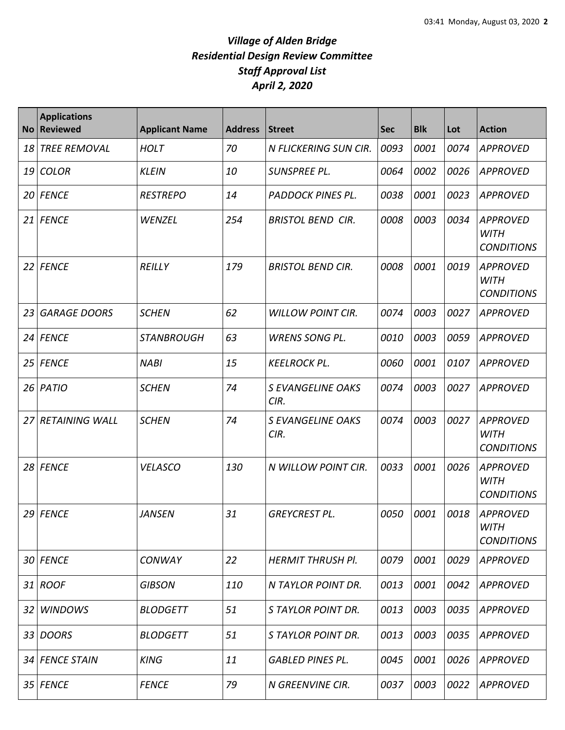| <b>No</b>       | <b>Applications</b><br><b>Reviewed</b> | <b>Applicant Name</b> | <b>Address</b> | <b>Street</b>                    | <b>Sec</b> | <b>Blk</b> | Lot  | <b>Action</b>                                       |
|-----------------|----------------------------------------|-----------------------|----------------|----------------------------------|------------|------------|------|-----------------------------------------------------|
| 18              | <b>TREE REMOVAL</b>                    | <b>HOLT</b>           | 70             | N FLICKERING SUN CIR.            | 0093       | 0001       | 0074 | <b>APPROVED</b>                                     |
| 19              | <b>COLOR</b>                           | <b>KLEIN</b>          | 10             | SUNSPREE PL.                     | 0064       | 0002       | 0026 | <b>APPROVED</b>                                     |
| 20              | <b>FENCE</b>                           | <b>RESTREPO</b>       | 14             | PADDOCK PINES PL.                | 0038       | 0001       | 0023 | <b>APPROVED</b>                                     |
| 21              | <b>FENCE</b>                           | WENZEL                | 254            | <b>BRISTOL BEND CIR.</b>         | 0008       | 0003       | 0034 | <b>APPROVED</b><br><b>WITH</b><br><b>CONDITIONS</b> |
| 22              | <b>FENCE</b>                           | <b>REILLY</b>         | 179            | <b>BRISTOL BEND CIR.</b>         | 0008       | 0001       | 0019 | <b>APPROVED</b><br><b>WITH</b><br><b>CONDITIONS</b> |
| 23              | <b>GARAGE DOORS</b>                    | <b>SCHEN</b>          | 62             | <b>WILLOW POINT CIR.</b>         | 0074       | 0003       | 0027 | <b>APPROVED</b>                                     |
| 24              | <b>FENCE</b>                           | <b>STANBROUGH</b>     | 63             | <b>WRENS SONG PL.</b>            | 0010       | 0003       | 0059 | <b>APPROVED</b>                                     |
| 25              | <b>FENCE</b>                           | <b>NABI</b>           | 15             | <b>KEELROCK PL.</b>              | 0060       | 0001       | 0107 | <b>APPROVED</b>                                     |
| 26              | PATIO                                  | <b>SCHEN</b>          | 74             | <b>S EVANGELINE OAKS</b><br>CIR. | 0074       | 0003       | 0027 | <b>APPROVED</b>                                     |
| 27              | <b>RETAINING WALL</b>                  | <b>SCHEN</b>          | 74             | <b>S EVANGELINE OAKS</b><br>CIR. | 0074       | 0003       | 0027 | <b>APPROVED</b><br><b>WITH</b><br><b>CONDITIONS</b> |
| 28              | <b>FENCE</b>                           | <b>VELASCO</b>        | 130            | N WILLOW POINT CIR.              | 0033       | 0001       | 0026 | <b>APPROVED</b><br><b>WITH</b><br><b>CONDITIONS</b> |
| 29              | <b>FENCE</b>                           | <b>JANSEN</b>         | 31             | <b>GREYCREST PL.</b>             | 0050       | 0001       | 0018 | <b>APPROVED</b><br><b>WITH</b><br><b>CONDITIONS</b> |
| 30 <sup>°</sup> | <b>FENCE</b>                           | <b>CONWAY</b>         | 22             | <b>HERMIT THRUSH PI.</b>         | 0079       | 0001       | 0029 | <b>APPROVED</b>                                     |
|                 | 31 ROOF                                | <b>GIBSON</b>         | 110            | N TAYLOR POINT DR.               | 0013       | 0001       | 0042 | <b>APPROVED</b>                                     |
| 32              | <b>WINDOWS</b>                         | <b>BLODGETT</b>       | 51             | S TAYLOR POINT DR.               | 0013       | 0003       | 0035 | <b>APPROVED</b>                                     |
| 33              | <b>DOORS</b>                           | <b>BLODGETT</b>       | 51             | S TAYLOR POINT DR.               | 0013       | 0003       | 0035 | <b>APPROVED</b>                                     |
|                 | 34 FENCE STAIN                         | <b>KING</b>           | 11             | <b>GABLED PINES PL.</b>          | 0045       | 0001       | 0026 | <b>APPROVED</b>                                     |
|                 | 35 FENCE                               | <b>FENCE</b>          | 79             | N GREENVINE CIR.                 | 0037       | 0003       | 0022 | <b>APPROVED</b>                                     |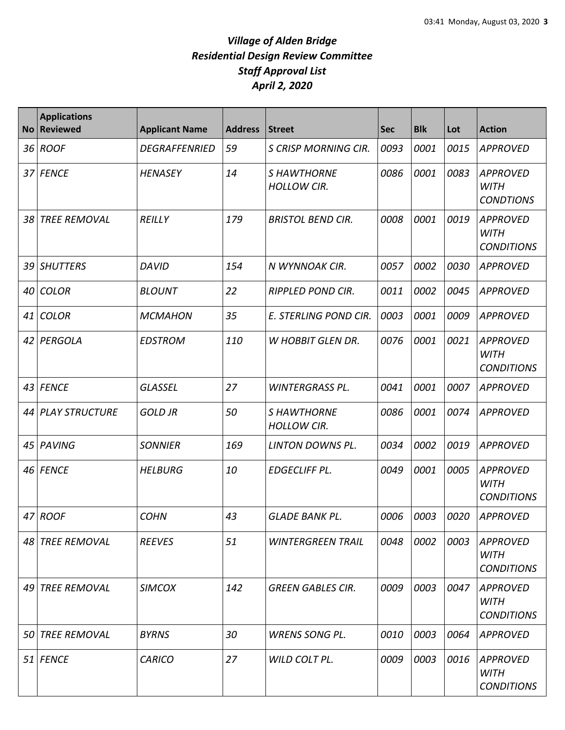| <b>No</b> | <b>Applications</b><br><b>Reviewed</b> | <b>Applicant Name</b> | <b>Address</b> | Street                                  | <b>Sec</b> | <b>Blk</b> | Lot  | <b>Action</b>                                       |
|-----------|----------------------------------------|-----------------------|----------------|-----------------------------------------|------------|------------|------|-----------------------------------------------------|
| 36        | <b>ROOF</b>                            | <b>DEGRAFFENRIED</b>  | 59             | <b>S CRISP MORNING CIR.</b>             | 0093       | 0001       | 0015 | <b>APPROVED</b>                                     |
| 37        | <b>FENCE</b>                           | <b>HENASEY</b>        | 14             | <b>SHAWTHORNE</b><br><b>HOLLOW CIR.</b> | 0086       | 0001       | 0083 | <b>APPROVED</b><br><b>WITH</b><br><b>CONDTIONS</b>  |
| 38        | <b>TREE REMOVAL</b>                    | <b>REILLY</b>         | 179            | <b>BRISTOL BEND CIR.</b>                | 0008       | 0001       | 0019 | <b>APPROVED</b><br><b>WITH</b><br><b>CONDITIONS</b> |
| 39        | <b>SHUTTERS</b>                        | <b>DAVID</b>          | 154            | N WYNNOAK CIR.                          | 0057       | 0002       | 0030 | <b>APPROVED</b>                                     |
| 40        | <b>COLOR</b>                           | <b>BLOUNT</b>         | 22             | <b>RIPPLED POND CIR.</b>                | 0011       | 0002       | 0045 | <b>APPROVED</b>                                     |
| 41        | <b>COLOR</b>                           | <b>MCMAHON</b>        | 35             | E. STERLING POND CIR.                   | 0003       | 0001       | 0009 | <b>APPROVED</b>                                     |
| 42        | PERGOLA                                | <b>EDSTROM</b>        | 110            | W HOBBIT GLEN DR.                       | 0076       | 0001       | 0021 | <b>APPROVED</b><br><b>WITH</b><br><b>CONDITIONS</b> |
| 43        | <b>FENCE</b>                           | <b>GLASSEL</b>        | 27             | <b>WINTERGRASS PL.</b>                  | 0041       | 0001       | 0007 | APPROVED                                            |
| 44        | <b>PLAY STRUCTURE</b>                  | <b>GOLD JR</b>        | 50             | <b>SHAWTHORNE</b><br><b>HOLLOW CIR.</b> | 0086       | 0001       | 0074 | <b>APPROVED</b>                                     |
| 45        | PAVING                                 | <b>SONNIER</b>        | 169            | <b>LINTON DOWNS PL.</b>                 | 0034       | 0002       | 0019 | <b>APPROVED</b>                                     |
| 46        | <b>FENCE</b>                           | <b>HELBURG</b>        | 10             | <b>EDGECLIFF PL.</b>                    | 0049       | 0001       | 0005 | <b>APPROVED</b><br><b>WITH</b><br><b>CONDITIONS</b> |
|           | 47 ROOF                                | <b>COHN</b>           | 43             | <b>GLADE BANK PL.</b>                   | 0006       | 0003       | 0020 | <b>APPROVED</b>                                     |
|           | 48 TREE REMOVAL                        | <b>REEVES</b>         | 51             | <b>WINTERGREEN TRAIL</b>                | 0048       | 0002       | 0003 | APPROVED<br><b>WITH</b><br><b>CONDITIONS</b>        |
|           | 49 TREE REMOVAL                        | <b>SIMCOX</b>         | 142            | <b>GREEN GABLES CIR.</b>                | 0009       | 0003       | 0047 | <b>APPROVED</b><br>WITH<br><b>CONDITIONS</b>        |
| 50        | <b>TREE REMOVAL</b>                    | <b>BYRNS</b>          | 30             | <b>WRENS SONG PL.</b>                   | 0010       | 0003       | 0064 | <b>APPROVED</b>                                     |
|           | 51 FENCE                               | <b>CARICO</b>         | 27             | WILD COLT PL.                           | 0009       | 0003       | 0016 | <b>APPROVED</b><br><b>WITH</b><br><b>CONDITIONS</b> |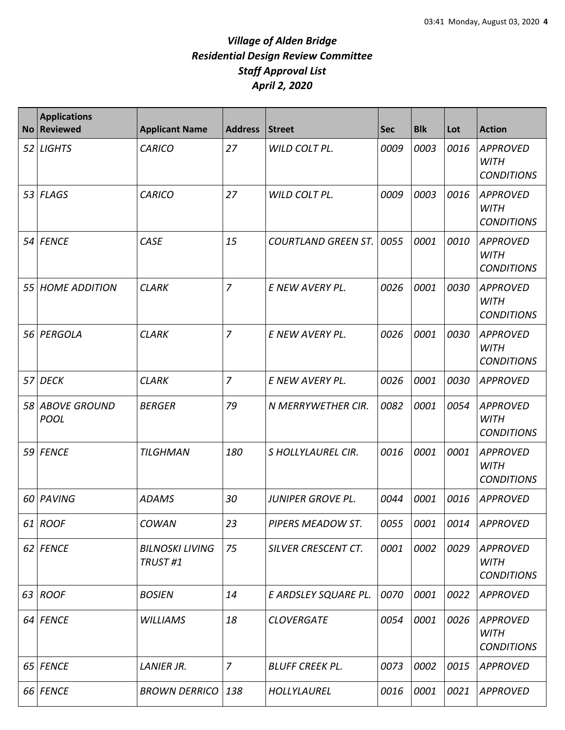| <b>No</b> | <b>Applications</b><br><b>Reviewed</b> | <b>Applicant Name</b>             | <b>Address</b> | Street                     | <b>Sec</b> | <b>Blk</b> | Lot  | <b>Action</b>                                       |
|-----------|----------------------------------------|-----------------------------------|----------------|----------------------------|------------|------------|------|-----------------------------------------------------|
| 52        | <b>LIGHTS</b>                          | <b>CARICO</b>                     | 27             | WILD COLT PL.              | 0009       | 0003       | 0016 | <b>APPROVED</b><br><b>WITH</b><br><b>CONDITIONS</b> |
|           | $53$ FLAGS                             | <b>CARICO</b>                     | 27             | WILD COLT PL.              | 0009       | 0003       | 0016 | <b>APPROVED</b><br><b>WITH</b><br><b>CONDITIONS</b> |
|           | 54 FENCE                               | CASE                              | 15             | <b>COURTLAND GREEN ST.</b> | 0055       | 0001       | 0010 | APPROVED<br><b>WITH</b><br><b>CONDITIONS</b>        |
| 55        | <b>HOME ADDITION</b>                   | <b>CLARK</b>                      | $\overline{7}$ | E NEW AVERY PL.            | 0026       | 0001       | 0030 | <b>APPROVED</b><br><b>WITH</b><br><b>CONDITIONS</b> |
| 56        | PERGOLA                                | <b>CLARK</b>                      | $\overline{7}$ | E NEW AVERY PL.            | 0026       | 0001       | 0030 | <b>APPROVED</b><br><b>WITH</b><br><b>CONDITIONS</b> |
| 57        | <b>DECK</b>                            | <b>CLARK</b>                      | $\overline{7}$ | E NEW AVERY PL.            | 0026       | 0001       | 0030 | <b>APPROVED</b>                                     |
|           | 58 ABOVE GROUND<br><b>POOL</b>         | <b>BERGER</b>                     | 79             | N MERRYWETHER CIR.         | 0082       | 0001       | 0054 | <b>APPROVED</b><br><b>WITH</b><br><b>CONDITIONS</b> |
| 59        | <b>FENCE</b>                           | <b>TILGHMAN</b>                   | 180            | S HOLLYLAUREL CIR.         | 0016       | 0001       | 0001 | <b>APPROVED</b><br><b>WITH</b><br><b>CONDITIONS</b> |
| 60        | PAVING                                 | <b>ADAMS</b>                      | 30             | <b>JUNIPER GROVE PL.</b>   | 0044       | 0001       | 0016 | <b>APPROVED</b>                                     |
|           | $61$ ROOF                              | COWAN                             | 23             | PIPERS MEADOW ST.          |            | 0055 0001  | 0014 | <b>APPROVED</b>                                     |
|           | 62 FENCE                               | <b>BILNOSKI LIVING</b><br>TRUST#1 | 75             | SILVER CRESCENT CT.        | 0001       | 0002       | 0029 | <b>APPROVED</b><br><b>WITH</b><br><b>CONDITIONS</b> |
| 63        | <b>ROOF</b>                            | <b>BOSIEN</b>                     | 14             | E ARDSLEY SQUARE PL.       | 0070       | 0001       | 0022 | <b>APPROVED</b>                                     |
|           | 64 FENCE                               | <b>WILLIAMS</b>                   | 18             | <b>CLOVERGATE</b>          | 0054       | 0001       | 0026 | APPROVED<br>WITH<br><b>CONDITIONS</b>               |
|           | 65 FENCE                               | <b>LANIER JR.</b>                 | $\overline{7}$ | <b>BLUFF CREEK PL.</b>     | 0073       | 0002       | 0015 | <b>APPROVED</b>                                     |
|           | 66 FENCE                               | <b>BROWN DERRICO</b>              | 138            | HOLLYLAUREL                | 0016       | 0001       | 0021 | <b>APPROVED</b>                                     |